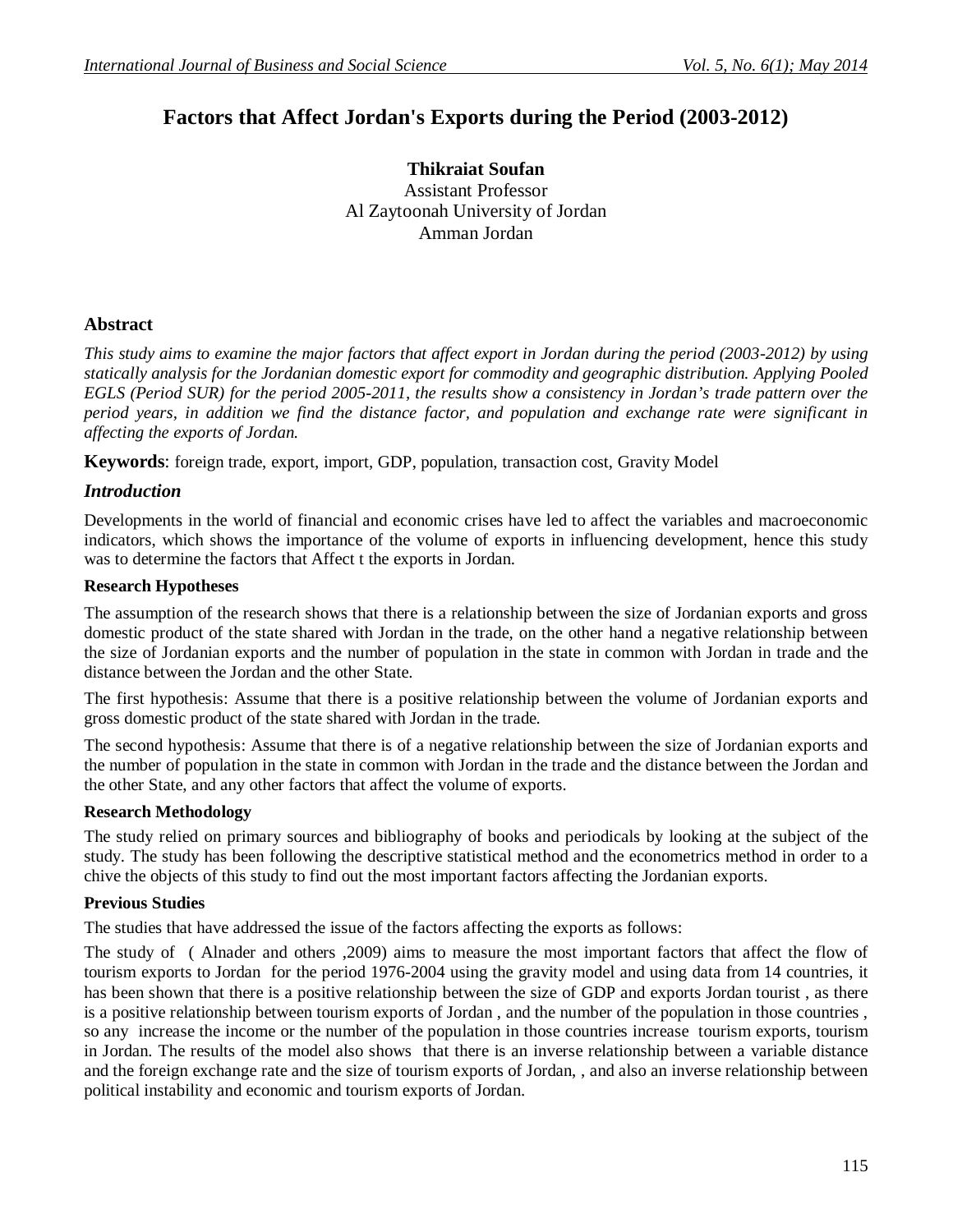# **Factors that Affect Jordan's Exports during the Period (2003-2012)**

**Thikraiat Soufan** Assistant Professor Al Zaytoonah University of Jordan Amman Jordan

# **Abstract**

*This study aims to examine the major factors that affect export in Jordan during the period (2003-2012) by using statically analysis for the Jordanian domestic export for commodity and geographic distribution. Applying Pooled EGLS (Period SUR) for the period 2005-2011, the results show a consistency in Jordan's trade pattern over the period years, in addition we find the distance factor, and population and exchange rate were significant in affecting the exports of Jordan.* 

**Keywords**: foreign trade, export, import, GDP, population, transaction cost, Gravity Model

# *Introduction*

Developments in the world of financial and economic crises have led to affect the variables and macroeconomic indicators, which shows the importance of the volume of exports in influencing development, hence this study was to determine the factors that Affect t the exports in Jordan.

### **Research Hypotheses**

The assumption of the research shows that there is a relationship between the size of Jordanian exports and gross domestic product of the state shared with Jordan in the trade, on the other hand a negative relationship between the size of Jordanian exports and the number of population in the state in common with Jordan in trade and the distance between the Jordan and the other State.

The first hypothesis: Assume that there is a positive relationship between the volume of Jordanian exports and gross domestic product of the state shared with Jordan in the trade.

The second hypothesis: Assume that there is of a negative relationship between the size of Jordanian exports and the number of population in the state in common with Jordan in the trade and the distance between the Jordan and the other State, and any other factors that affect the volume of exports.

# **Research Methodology**

The study relied on primary sources and bibliography of books and periodicals by looking at the subject of the study. The study has been following the descriptive statistical method and the econometrics method in order to a chive the objects of this study to find out the most important factors affecting the Jordanian exports.

# **Previous Studies**

The studies that have addressed the issue of the factors affecting the exports as follows:

The study of ( Alnader and others ,2009) aims to measure the most important factors that affect the flow of tourism exports to Jordan for the period 1976-2004 using the gravity model and using data from 14 countries, it has been shown that there is a positive relationship between the size of GDP and exports Jordan tourist , as there is a positive relationship between tourism exports of Jordan , and the number of the population in those countries , so any increase the income or the number of the population in those countries increase tourism exports, tourism in Jordan. The results of the model also shows that there is an inverse relationship between a variable distance and the foreign exchange rate and the size of tourism exports of Jordan, , and also an inverse relationship between political instability and economic and tourism exports of Jordan.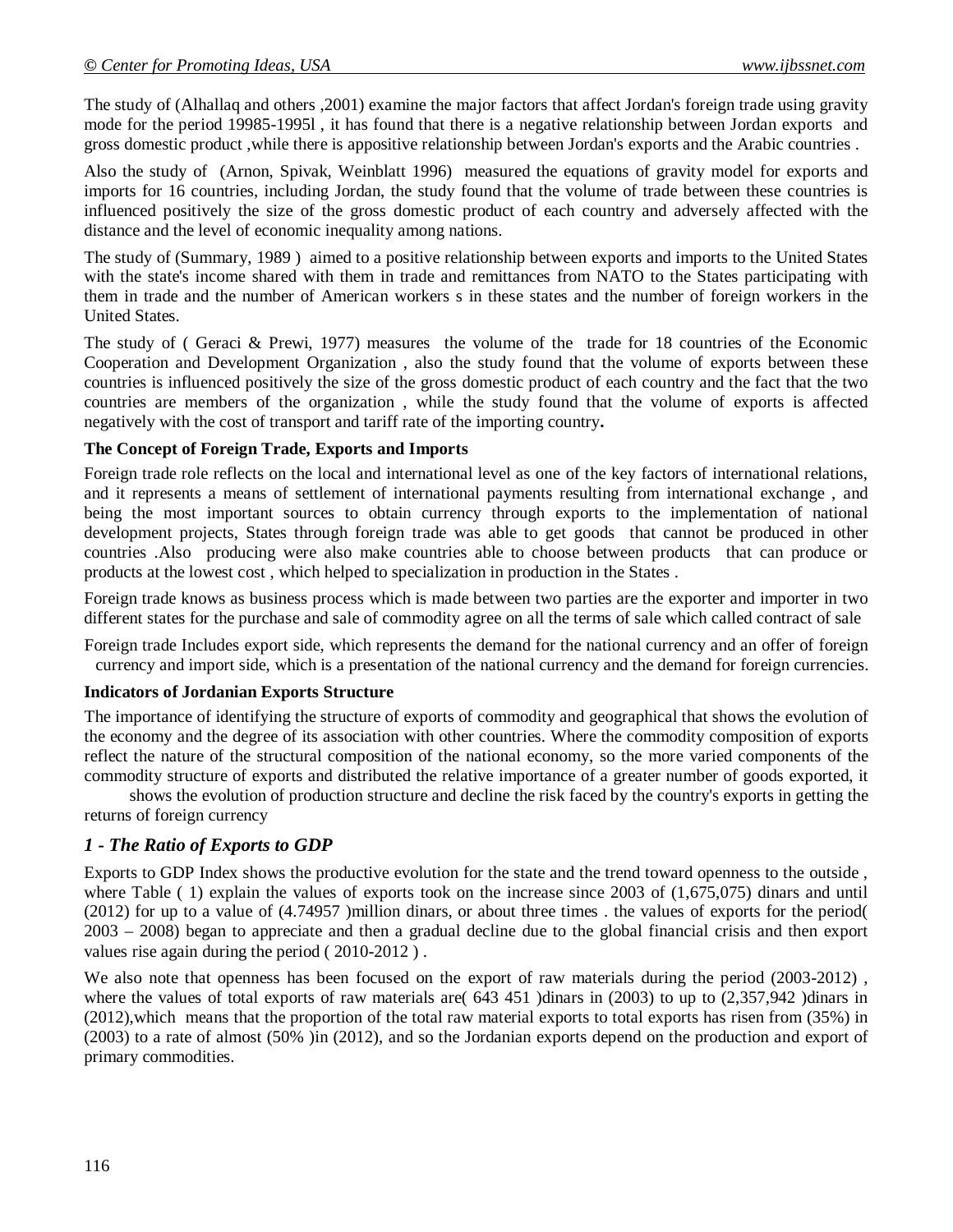The study of (Alhallaq and others ,2001) examine the major factors that affect Jordan's foreign trade using gravity mode for the period 19985-1995l , it has found that there is a negative relationship between Jordan exports and gross domestic product ,while there is appositive relationship between Jordan's exports and the Arabic countries .

Also the study of (Arnon, Spivak, Weinblatt 1996) measured the equations of gravity model for exports and imports for 16 countries, including Jordan, the study found that the volume of trade between these countries is influenced positively the size of the gross domestic product of each country and adversely affected with the distance and the level of economic inequality among nations.

The study of (Summary, 1989 ) aimed to a positive relationship between exports and imports to the United States with the state's income shared with them in trade and remittances from NATO to the States participating with them in trade and the number of American workers s in these states and the number of foreign workers in the United States.

The study of ( Geraci & Prewi, 1977) measures the volume of the trade for 18 countries of the Economic Cooperation and Development Organization , also the study found that the volume of exports between these countries is influenced positively the size of the gross domestic product of each country and the fact that the two countries are members of the organization , while the study found that the volume of exports is affected negatively with the cost of transport and tariff rate of the importing country**.**

#### **The Concept of Foreign Trade, Exports and Imports**

Foreign trade role reflects on the local and international level as one of the key factors of international relations, and it represents a means of settlement of international payments resulting from international exchange , and being the most important sources to obtain currency through exports to the implementation of national development projects, States through foreign trade was able to get goods that cannot be produced in other countries .Also producing were also make countries able to choose between products that can produce or products at the lowest cost , which helped to specialization in production in the States .

Foreign trade knows as business process which is made between two parties are the exporter and importer in two different states for the purchase and sale of commodity agree on all the terms of sale which called contract of sale

Foreign trade Includes export side, which represents the demand for the national currency and an offer of foreign currency and import side, which is a presentation of the national currency and the demand for foreign currencies.

#### **Indicators of Jordanian Exports Structure**

The importance of identifying the structure of exports of commodity and geographical that shows the evolution of the economy and the degree of its association with other countries. Where the commodity composition of exports reflect the nature of the structural composition of the national economy, so the more varied components of the commodity structure of exports and distributed the relative importance of a greater number of goods exported, it

shows the evolution of production structure and decline the risk faced by the country's exports in getting the returns of foreign currency

# *1 - The Ratio of Exports to GDP*

Exports to GDP Index shows the productive evolution for the state and the trend toward openness to the outside , where Table (1) explain the values of exports took on the increase since 2003 of (1,675,075) dinars and until (2012) for up to a value of (4.74957 )million dinars, or about three times . the values of exports for the period( 2003 – 2008) began to appreciate and then a gradual decline due to the global financial crisis and then export values rise again during the period ( 2010-2012 ) .

We also note that openness has been focused on the export of raw materials during the period (2003-2012), where the values of total exports of raw materials are( 643 451 )dinars in (2003) to up to (2,357,942 )dinars in (2012),which means that the proportion of the total raw material exports to total exports has risen from (35%) in (2003) to a rate of almost (50% )in (2012), and so the Jordanian exports depend on the production and export of primary commodities.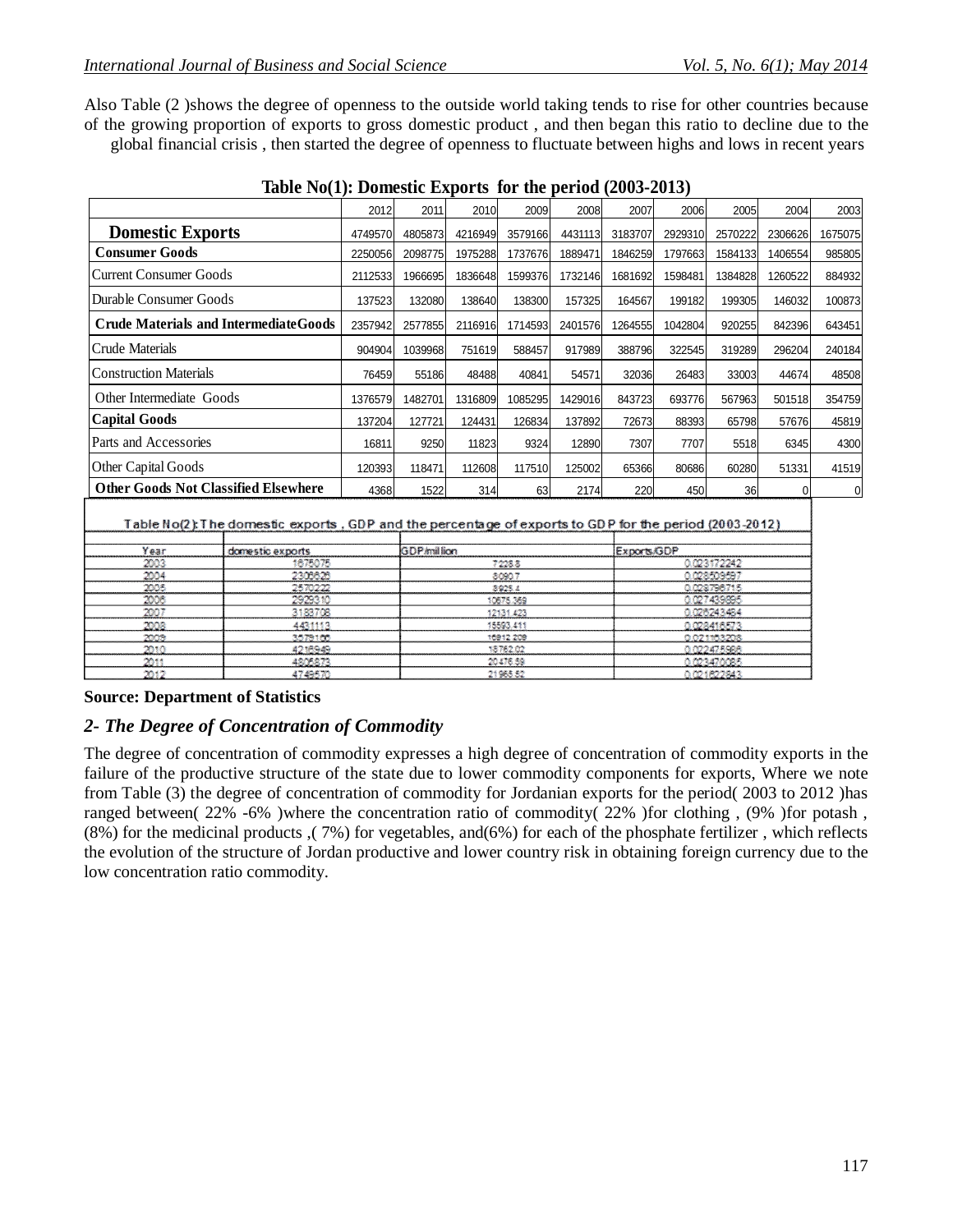Also Table (2 )shows the degree of openness to the outside world taking tends to rise for other countries because of the growing proportion of exports to gross domestic product , and then began this ratio to decline due to the global financial crisis , then started the degree of openness to fluctuate between highs and lows in recent years

| $\mathbf{1}$ able two theories $\mathbf{1}$ about the filler better $\mathbf{1}$ above $\mathbf{1}$ above the filler |         |         |         |         |         |          |         |         |         |         |
|----------------------------------------------------------------------------------------------------------------------|---------|---------|---------|---------|---------|----------|---------|---------|---------|---------|
|                                                                                                                      | 2012    | 2011    | 2010    | 2009    | 2008    | 2007     | 2006    | 2005    | 2004    | 2003    |
| <b>Domestic Exports</b>                                                                                              | 4749570 | 4805873 | 4216949 | 3579166 | 4431113 | 3183707  | 2929310 | 2570222 | 2306626 | 1675075 |
| <b>Consumer Goods</b>                                                                                                | 2250056 | 2098775 | 1975288 | 1737676 | 1889471 | 1846259  | 1797663 | 1584133 | 1406554 | 985805  |
| Current Consumer Goods                                                                                               | 2112533 | 1966695 | 1836648 | 1599376 | 1732146 | 1681692  | 1598481 | 1384828 | 1260522 | 884932  |
| Durable Consumer Goods                                                                                               | 137523  | 132080  | 138640  | 138300  | 157325  | 164567   | 199182  | 199305  | 146032  | 100873  |
| <b>Crude Materials and Intermediate Goods</b>                                                                        | 2357942 | 2577855 | 2116916 | 1714593 | 2401576 | 12645551 | 1042804 | 920255  | 842396  | 643451  |
| Crude Materials                                                                                                      | 904904  | 1039968 | 751619  | 588457  | 917989  | 388796   | 322545  | 319289  | 296204  | 240184  |
| <b>Construction Materials</b>                                                                                        | 76459   | 55186   | 48488   | 40841   | 54571   | 32036    | 26483   | 33003   | 44674   | 48508   |
| Other Intermediate Goods                                                                                             | 1376579 | 1482701 | 1316809 | 1085295 | 1429016 | 843723   | 693776  | 567963  | 501518  | 354759  |
| <b>Capital Goods</b>                                                                                                 | 137204  | 127721  | 124431  | 126834  | 137892  | 72673    | 88393   | 65798   | 57676   | 45819   |
| Parts and Accessories                                                                                                | 16811   | 9250    | 11823   | 9324    | 12890   | 7307     | 7707    | 5518    | 6345    | 4300    |
| Other Capital Goods                                                                                                  | 120393  | 118471  | 112608  | 117510  | 125002  | 65366    | 80686   | 60280   | 51331   | 41519   |
| <b>Other Goods Not Classified Elsewhere</b>                                                                          | 4368    | 1522    | 314     | 63      | 2174    | 220      | 450     | 36      |         | 0       |
|                                                                                                                      |         |         |         |         |         |          |         |         |         |         |

| Table No(2): The domestic exports , GDP and the percentage of exports to GDP for the period (2003-2012) |  |
|---------------------------------------------------------------------------------------------------------|--|
|                                                                                                         |  |

| Year              | domestic exports | GDP/million | Exports/GDP |
|-------------------|------------------|-------------|-------------|
| 200.              | 1675075          | 7228.8      | 0.023172242 |
| 2004              | 2305625          | 8090.7      | 0.028509597 |
| 2005              | 2570222          | 8925.4      | 0.028796715 |
| 2006              | 2929310          | 10575.369   | 0.027439895 |
| 2007              | 3183708          | 12131.423   | 0.026243484 |
| 2008              | 4431113          | 15593.411   | 0.028416573 |
| 2006              | 3579100.         | 16912-209   | 0.021153208 |
| 70.50             | 4218949          | 18762.02    | 0.022475988 |
| <b>Particular</b> | 4205273          | 20476.59    | 0.023470085 |
| 2017              | 4749570          | 21965.52    | 0.021822843 |

#### **Source: Department of Statistics**

### *2- The Degree of Concentration of Commodity*

The degree of concentration of commodity expresses a high degree of concentration of commodity exports in the failure of the productive structure of the state due to lower commodity components for exports, Where we note from Table (3) the degree of concentration of commodity for Jordanian exports for the period( 2003 to 2012 )has ranged between( 22% -6% )where the concentration ratio of commodity( 22% )for clothing , (9% )for potash ,  $(8\%)$  for the medicinal products ( $7\%$ ) for vegetables, and( $6\%$ ) for each of the phosphate fertilizer, which reflects the evolution of the structure of Jordan productive and lower country risk in obtaining foreign currency due to the low concentration ratio commodity.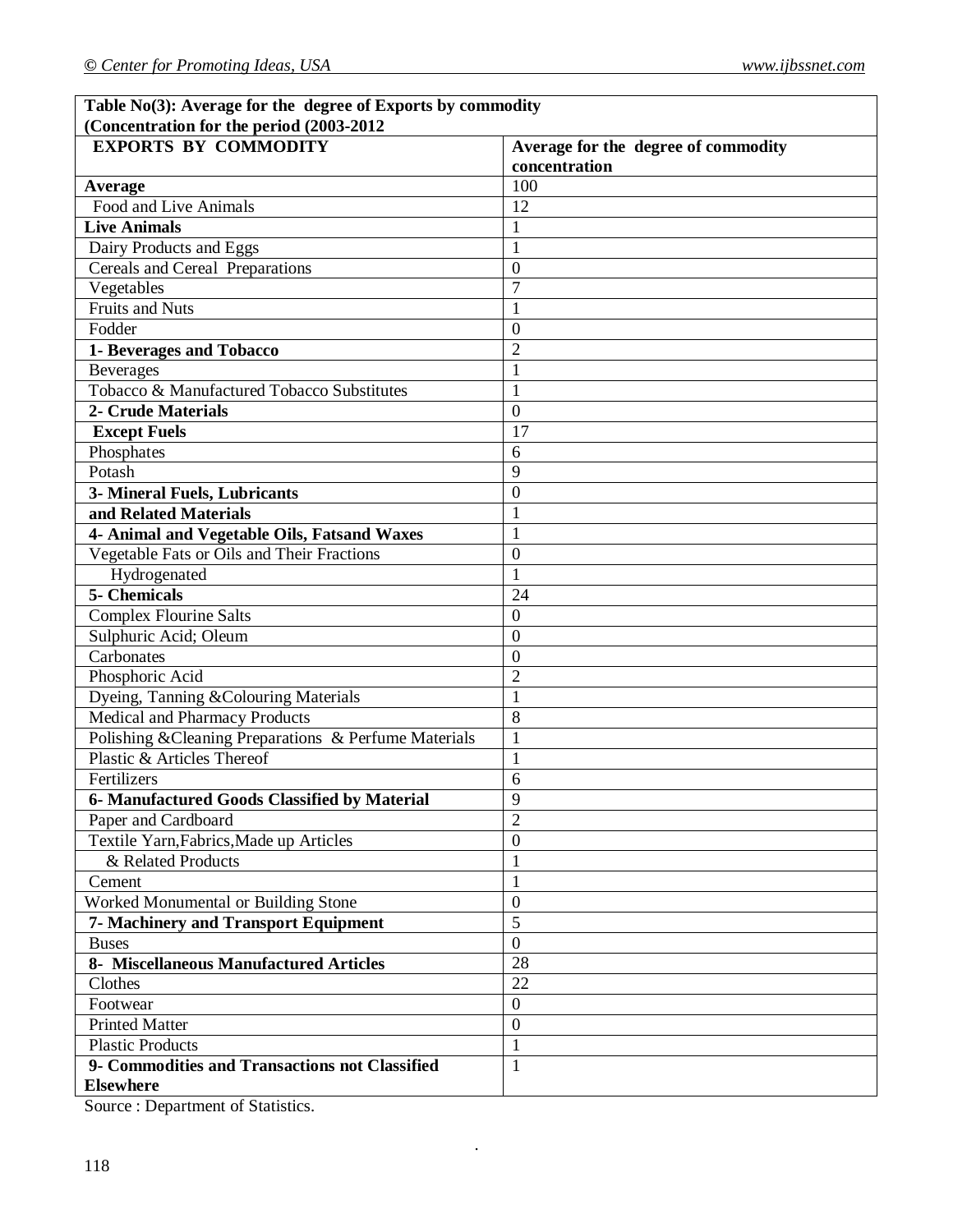٦

| Table No(3): Average for the degree of Exports by commodity |                                     |
|-------------------------------------------------------------|-------------------------------------|
| (Concentration for the period (2003-2012)                   |                                     |
| <b>EXPORTS BY COMMODITY</b>                                 | Average for the degree of commodity |
|                                                             | concentration                       |
| <b>Average</b>                                              | 100                                 |
| Food and Live Animals                                       | 12                                  |
| <b>Live Animals</b>                                         | $\mathbf{1}$                        |
| Dairy Products and Eggs                                     | $\mathbf{1}$                        |
| Cereals and Cereal Preparations                             | $\mathbf{0}$                        |
| $\overline{V}$ egetables                                    | $\overline{7}$                      |
| <b>Fruits and Nuts</b>                                      | 1                                   |
| Fodder                                                      | $\boldsymbol{0}$                    |
| 1- Beverages and Tobacco                                    | $\overline{2}$                      |
| <b>Beverages</b>                                            | $\mathbf{1}$                        |
| Tobacco & Manufactured Tobacco Substitutes                  | 1                                   |
| 2- Crude Materials                                          | $\mathbf{0}$                        |
| <b>Except Fuels</b>                                         | 17                                  |
| Phosphates                                                  | 6                                   |
| Potash                                                      | 9                                   |
| 3- Mineral Fuels, Lubricants                                | $\overline{0}$                      |
| and Related Materials                                       | $\mathbf{1}$                        |
| 4- Animal and Vegetable Oils, Fatsand Waxes                 | $\mathbf{1}$                        |
| Vegetable Fats or Oils and Their Fractions                  | $\mathbf{0}$                        |
| Hydrogenated                                                | $\mathbf{1}$                        |
| 5- Chemicals                                                | 24                                  |
| <b>Complex Flourine Salts</b>                               | $\mathbf{0}$                        |
| Sulphuric Acid; Oleum                                       | $\mathbf{0}$                        |
| Carbonates                                                  | $\boldsymbol{0}$                    |
| Phosphoric Acid                                             | $\overline{2}$                      |
| Dyeing, Tanning & Colouring Materials                       | $\mathbf{1}$                        |
| Medical and Pharmacy Products                               | 8                                   |
| Polishing & Cleaning Preparations & Perfume Materials       | $\mathbf{1}$                        |
| Plastic & Articles Thereof                                  | 1                                   |
| Fertilizers                                                 | 6                                   |
| 6- Manufactured Goods Classified by Material                | 9                                   |
| Paper and Cardboard                                         | $\overline{2}$                      |
| Textile Yarn, Fabrics, Made up Articles                     | $\mathbf{0}$                        |
| & Related Products                                          | $\mathbf{1}$                        |
| Cement                                                      | 1                                   |
| Worked Monumental or Building Stone                         | $\mathbf{0}$                        |
| <b>7- Machinery and Transport Equipment</b>                 | 5                                   |
|                                                             | $\mathbf{0}$                        |
| <b>Buses</b><br>8- Miscellaneous Manufactured Articles      | 28                                  |
| Clothes                                                     | 22                                  |
|                                                             |                                     |
| Footwear                                                    | $\boldsymbol{0}$                    |
| <b>Printed Matter</b>                                       | $\overline{0}$                      |
| <b>Plastic Products</b>                                     | $\mathbf{1}$                        |
| 9- Commodities and Transactions not Classified              | $\mathbf{1}$                        |
| <b>Elsewhere</b>                                            |                                     |

.

Source : Department of Statistics.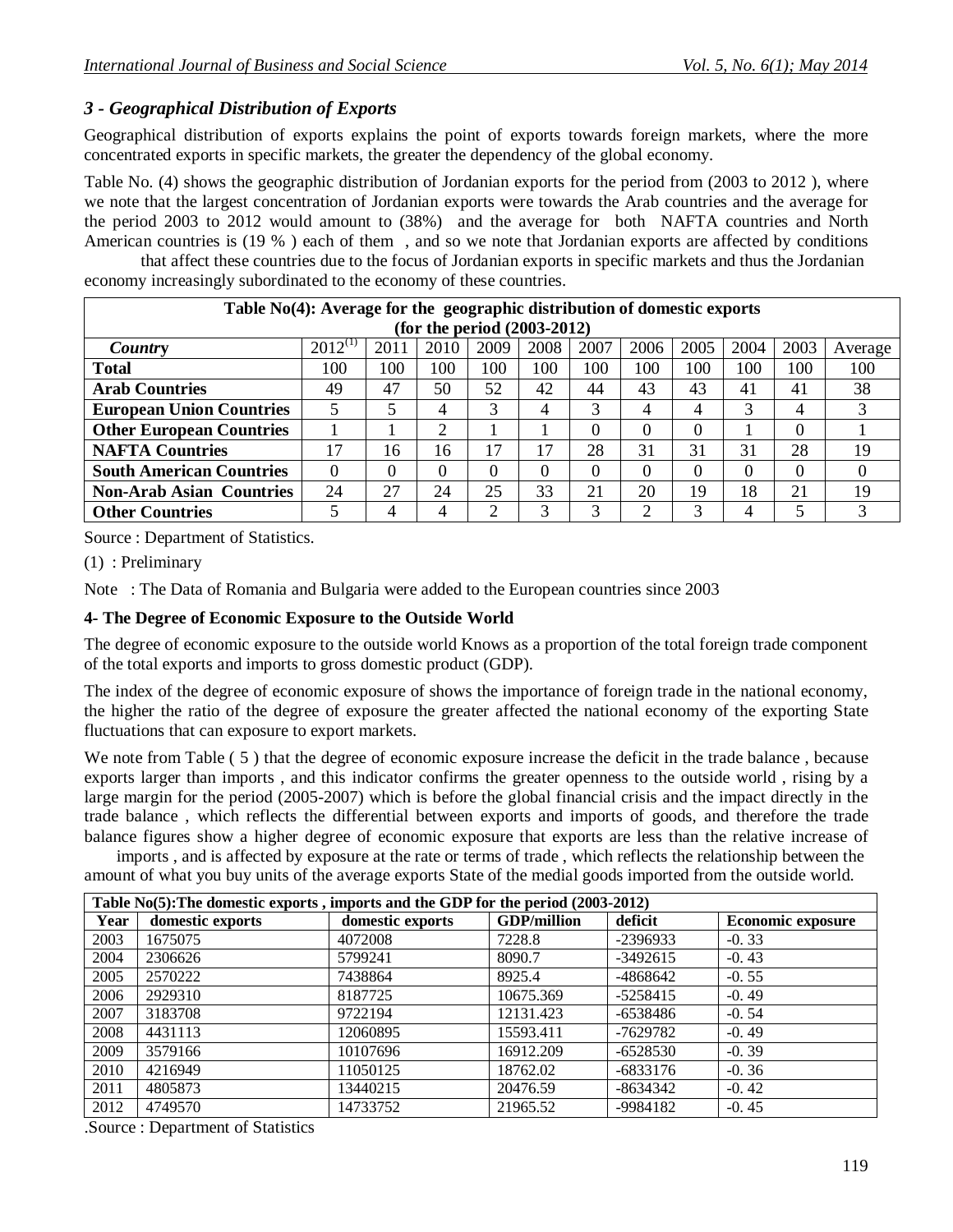# *3 - Geographical Distribution of Exports*

Geographical distribution of exports explains the point of exports towards foreign markets, where the more concentrated exports in specific markets, the greater the dependency of the global economy.

Table No. (4) shows the geographic distribution of Jordanian exports for the period from (2003 to 2012 ), where we note that the largest concentration of Jordanian exports were towards the Arab countries and the average for the period 2003 to 2012 would amount to (38%) and the average for both NAFTA countries and North American countries is (19 % ) each of them , and so we note that Jordanian exports are affected by conditions

that affect these countries due to the focus of Jordanian exports in specific markets and thus the Jordanian economy increasingly subordinated to the economy of these countries.

| Table $No(4)$ : Average for the geographic distribution of domestic exports |              |      |      |      |      |      |      |      |                |      |         |
|-----------------------------------------------------------------------------|--------------|------|------|------|------|------|------|------|----------------|------|---------|
| (for the period $(2003-2012)$ )                                             |              |      |      |      |      |      |      |      |                |      |         |
| <b>Country</b>                                                              | $2012^{(1)}$ | 2011 | 2010 | 2009 | 2008 | 2007 | 2006 | 2005 | 2004           | 2003 | Average |
| <b>Total</b>                                                                | 100          | 100  | 100  | 100  | 100  | 100  | 100  | 100  | 100            | 100  | 100     |
| <b>Arab Countries</b>                                                       | 49           | 47   | 50   | 52   | 42   | 44   | 43   | 43   | -41            | 41   | 38      |
| <b>European Union Countries</b>                                             |              |      | 4    | 3    | 4    |      | 4    | 4    |                | 4    | 3       |
| <b>Other European Countries</b>                                             |              |      |      |      |      |      | 0    | 0    |                | 0    |         |
| <b>NAFTA Countries</b>                                                      | 17           | 16   | 16   | 17   | 17   | 28   | 31   | 31   | 31             | 28   | 19      |
| <b>South American Countries</b>                                             | $\Omega$     | 0    |      | 0    | 0    |      | 0    | 0    |                | 0    | 0       |
| <b>Non-Arab Asian Countries</b>                                             | 24           | 27   | 24   | 25   | 33   | 21   | 20   | 19   | 18             | 21   | 19      |
| <b>Other Countries</b>                                                      |              |      | 4    | ↑    | 3    |      | 2    | 3    | $\overline{4}$ | 5    |         |

Source : Department of Statistics.

(1) : Preliminary

Note : The Data of Romania and Bulgaria were added to the European countries since 2003

### **4- The Degree of Economic Exposure to the Outside World**

The degree of economic exposure to the outside world Knows as a proportion of the total foreign trade component of the total exports and imports to gross domestic product (GDP).

The index of the degree of economic exposure of shows the importance of foreign trade in the national economy, the higher the ratio of the degree of exposure the greater affected the national economy of the exporting State fluctuations that can exposure to export markets.

We note from Table  $(5)$  that the degree of economic exposure increase the deficit in the trade balance, because exports larger than imports , and this indicator confirms the greater openness to the outside world , rising by a large margin for the period (2005-2007) which is before the global financial crisis and the impact directly in the trade balance , which reflects the differential between exports and imports of goods, and therefore the trade balance figures show a higher degree of economic exposure that exports are less than the relative increase of

imports , and is affected by exposure at the rate or terms of trade , which reflects the relationship between the amount of what you buy units of the average exports State of the medial goods imported from the outside world.

| Table No(5): The domestic exports, imports and the GDP for the period (2003-2012) |                  |                  |                    |            |                          |  |  |  |  |
|-----------------------------------------------------------------------------------|------------------|------------------|--------------------|------------|--------------------------|--|--|--|--|
| Year                                                                              | domestic exports | domestic exports | <b>GDP/million</b> | deficit    | <b>Economic exposure</b> |  |  |  |  |
| 2003                                                                              | 1675075          | 4072008          | 7228.8             | $-2396933$ | $-0.33$                  |  |  |  |  |
| 2004                                                                              | 2306626          | 5799241          | 8090.7             | $-3492615$ | $-0.43$                  |  |  |  |  |
| 2005                                                                              | 2570222          | 7438864          | 8925.4             | -4868642   | $-0.55$                  |  |  |  |  |
| 2006                                                                              | 2929310          | 8187725          | 10675.369          | $-5258415$ | $-0.49$                  |  |  |  |  |
| 2007                                                                              | 3183708          | 9722194          | 12131.423          | -6538486   | $-0.54$                  |  |  |  |  |
| 2008                                                                              | 4431113          | 12060895         | 15593.411          | -7629782   | $-0.49$                  |  |  |  |  |
| 2009                                                                              | 3579166          | 10107696         | 16912.209          | $-6528530$ | $-0.39$                  |  |  |  |  |
| 2010                                                                              | 4216949          | 11050125         | 18762.02           | $-6833176$ | $-0.36$                  |  |  |  |  |
| 2011                                                                              | 4805873          | 13440215         | 20476.59           | $-8634342$ | $-0.42$                  |  |  |  |  |
| 2012                                                                              | 4749570          | 14733752         | 21965.52           | -9984182   | $-0.45$                  |  |  |  |  |

.Source : Department of Statistics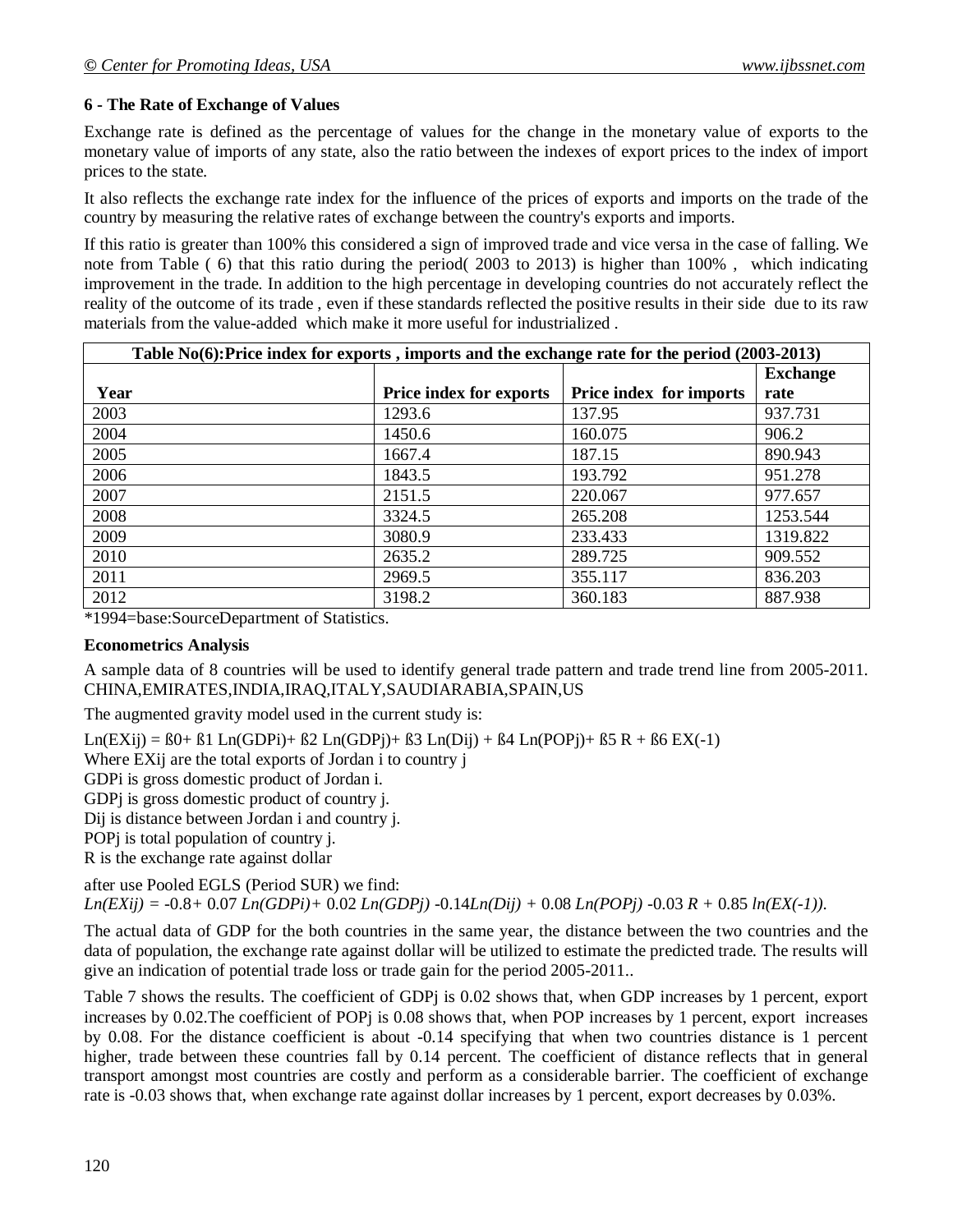### **6 - The Rate of Exchange of Values**

Exchange rate is defined as the percentage of values for the change in the monetary value of exports to the monetary value of imports of any state, also the ratio between the indexes of export prices to the index of import prices to the state.

It also reflects the exchange rate index for the influence of the prices of exports and imports on the trade of the country by measuring the relative rates of exchange between the country's exports and imports.

If this ratio is greater than 100% this considered a sign of improved trade and vice versa in the case of falling. We note from Table ( 6) that this ratio during the period( 2003 to 2013) is higher than 100% , which indicating improvement in the trade. In addition to the high percentage in developing countries do not accurately reflect the reality of the outcome of its trade , even if these standards reflected the positive results in their side due to its raw materials from the value-added which make it more useful for industrialized .

| Table No(6):Price index for exports, imports and the exchange rate for the period (2003-2013) |                                |                                |          |  |  |  |  |  |
|-----------------------------------------------------------------------------------------------|--------------------------------|--------------------------------|----------|--|--|--|--|--|
|                                                                                               |                                |                                |          |  |  |  |  |  |
| Year                                                                                          | <b>Price index for exports</b> | <b>Price index for imports</b> | rate     |  |  |  |  |  |
| 2003                                                                                          | 1293.6                         | 137.95                         | 937.731  |  |  |  |  |  |
| 2004                                                                                          | 1450.6                         | 160.075                        | 906.2    |  |  |  |  |  |
| 2005                                                                                          | 1667.4                         | 187.15                         | 890.943  |  |  |  |  |  |
| 2006                                                                                          | 1843.5                         | 193.792                        | 951.278  |  |  |  |  |  |
| 2007                                                                                          | 2151.5                         | 220.067                        | 977.657  |  |  |  |  |  |
| 2008                                                                                          | 3324.5                         | 265.208                        | 1253.544 |  |  |  |  |  |
| 2009                                                                                          | 3080.9                         | 233.433                        | 1319.822 |  |  |  |  |  |
| 2010                                                                                          | 2635.2                         | 289.725                        | 909.552  |  |  |  |  |  |
| 2011                                                                                          | 2969.5                         | 355.117                        | 836.203  |  |  |  |  |  |
| 2012                                                                                          | 3198.2                         | 360.183                        | 887.938  |  |  |  |  |  |

\*1994=base:SourceDepartment of Statistics.

#### **Econometrics Analysis**

A sample data of 8 countries will be used to identify general trade pattern and trade trend line from 2005-2011. CHINA,EMIRATES,INDIA,IRAQ,ITALY,SAUDIARABIA,SPAIN,US

The augmented gravity model used in the current study is:

 $Ln(EXij) = B0+ B1 Ln(GDPi) + B2 Ln(GDPi) + B3 Ln(Dij) + B4 Ln(POPi) + B5 R + B6 EX(-1)$ 

Where EXij are the total exports of Jordan i to country j

GDPi is gross domestic product of Jordan i.

GDPj is gross domestic product of country j.

Dij is distance between Jordan i and country j.

POPj is total population of country j.

R is the exchange rate against dollar

after use Pooled EGLS (Period SUR) we find:

*Ln(EXij) =* -0.8*+* 0.07 *Ln(GDPi)+* 0.02 *Ln(GDPj)* -0.14*Ln(Dij) +* 0.08 *Ln(POPj)* -0.03 *R +* 0.85 *ln(EX(-1)).* 

The actual data of GDP for the both countries in the same year, the distance between the two countries and the data of population, the exchange rate against dollar will be utilized to estimate the predicted trade. The results will give an indication of potential trade loss or trade gain for the period 2005-2011..

Table 7 shows the results. The coefficient of GDPj is 0.02 shows that, when GDP increases by 1 percent, export increases by 0.02.The coefficient of POPj is 0.08 shows that, when POP increases by 1 percent, export increases by 0.08. For the distance coefficient is about -0.14 specifying that when two countries distance is 1 percent higher, trade between these countries fall by 0.14 percent. The coefficient of distance reflects that in general transport amongst most countries are costly and perform as a considerable barrier. The coefficient of exchange rate is -0.03 shows that, when exchange rate against dollar increases by 1 percent, export decreases by 0.03%.